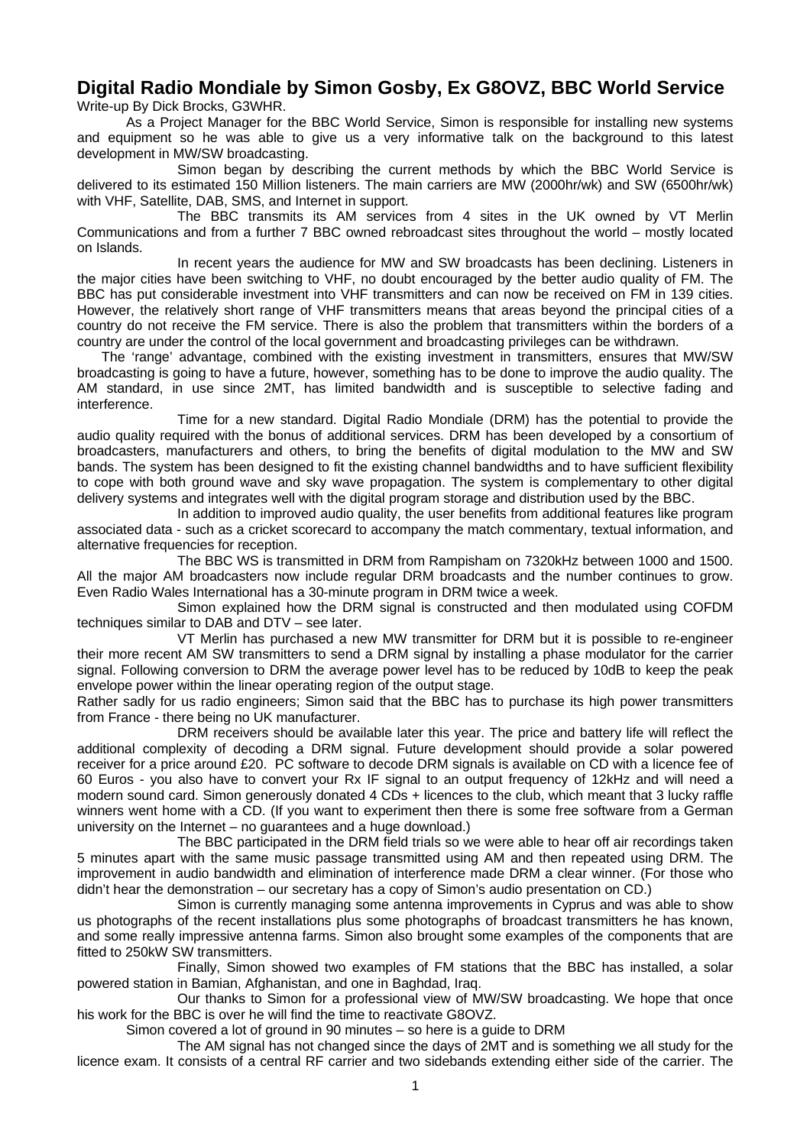## **Digital Radio Mondiale by Simon Gosby, Ex G8OVZ, BBC World Service**

Write-up By Dick Brocks, G3WHR.

As a Project Manager for the BBC World Service, Simon is responsible for installing new systems and equipment so he was able to give us a very informative talk on the background to this latest development in MW/SW broadcasting.

Simon began by describing the current methods by which the BBC World Service is delivered to its estimated 150 Million listeners. The main carriers are MW (2000hr/wk) and SW (6500hr/wk) with VHF, Satellite, DAB, SMS, and Internet in support.

The BBC transmits its AM services from 4 sites in the UK owned by VT Merlin Communications and from a further 7 BBC owned rebroadcast sites throughout the world – mostly located on Islands.

In recent years the audience for MW and SW broadcasts has been declining. Listeners in the major cities have been switching to VHF, no doubt encouraged by the better audio quality of FM. The BBC has put considerable investment into VHF transmitters and can now be received on FM in 139 cities. However, the relatively short range of VHF transmitters means that areas beyond the principal cities of a country do not receive the FM service. There is also the problem that transmitters within the borders of a country are under the control of the local government and broadcasting privileges can be withdrawn.

The 'range' advantage, combined with the existing investment in transmitters, ensures that MW/SW broadcasting is going to have a future, however, something has to be done to improve the audio quality. The AM standard, in use since 2MT, has limited bandwidth and is susceptible to selective fading and interference.

Time for a new standard. Digital Radio Mondiale (DRM) has the potential to provide the audio quality required with the bonus of additional services. DRM has been developed by a consortium of broadcasters, manufacturers and others, to bring the benefits of digital modulation to the MW and SW bands. The system has been designed to fit the existing channel bandwidths and to have sufficient flexibility to cope with both ground wave and sky wave propagation. The system is complementary to other digital delivery systems and integrates well with the digital program storage and distribution used by the BBC.

In addition to improved audio quality, the user benefits from additional features like program associated data - such as a cricket scorecard to accompany the match commentary, textual information, and alternative frequencies for reception.

The BBC WS is transmitted in DRM from Rampisham on 7320kHz between 1000 and 1500. All the major AM broadcasters now include regular DRM broadcasts and the number continues to grow. Even Radio Wales International has a 30-minute program in DRM twice a week.

Simon explained how the DRM signal is constructed and then modulated using COFDM techniques similar to DAB and DTV – see later.

VT Merlin has purchased a new MW transmitter for DRM but it is possible to re-engineer their more recent AM SW transmitters to send a DRM signal by installing a phase modulator for the carrier signal. Following conversion to DRM the average power level has to be reduced by 10dB to keep the peak envelope power within the linear operating region of the output stage.

Rather sadly for us radio engineers; Simon said that the BBC has to purchase its high power transmitters from France - there being no UK manufacturer.

DRM receivers should be available later this year. The price and battery life will reflect the additional complexity of decoding a DRM signal. Future development should provide a solar powered receiver for a price around £20. PC software to decode DRM signals is available on CD with a licence fee of 60 Euros - you also have to convert your Rx IF signal to an output frequency of 12kHz and will need a modern sound card. Simon generously donated 4 CDs + licences to the club, which meant that 3 lucky raffle winners went home with a CD. (If you want to experiment then there is some free software from a German university on the Internet – no guarantees and a huge download.)

The BBC participated in the DRM field trials so we were able to hear off air recordings taken 5 minutes apart with the same music passage transmitted using AM and then repeated using DRM. The improvement in audio bandwidth and elimination of interference made DRM a clear winner. (For those who didn't hear the demonstration – our secretary has a copy of Simon's audio presentation on CD.)

Simon is currently managing some antenna improvements in Cyprus and was able to show us photographs of the recent installations plus some photographs of broadcast transmitters he has known, and some really impressive antenna farms. Simon also brought some examples of the components that are fitted to 250kW SW transmitters.

Finally, Simon showed two examples of FM stations that the BBC has installed, a solar powered station in Bamian, Afghanistan, and one in Baghdad, Iraq.

Our thanks to Simon for a professional view of MW/SW broadcasting. We hope that once his work for the BBC is over he will find the time to reactivate G8OVZ.

Simon covered a lot of ground in 90 minutes – so here is a guide to DRM

The AM signal has not changed since the days of 2MT and is something we all study for the licence exam. It consists of a central RF carrier and two sidebands extending either side of the carrier. The